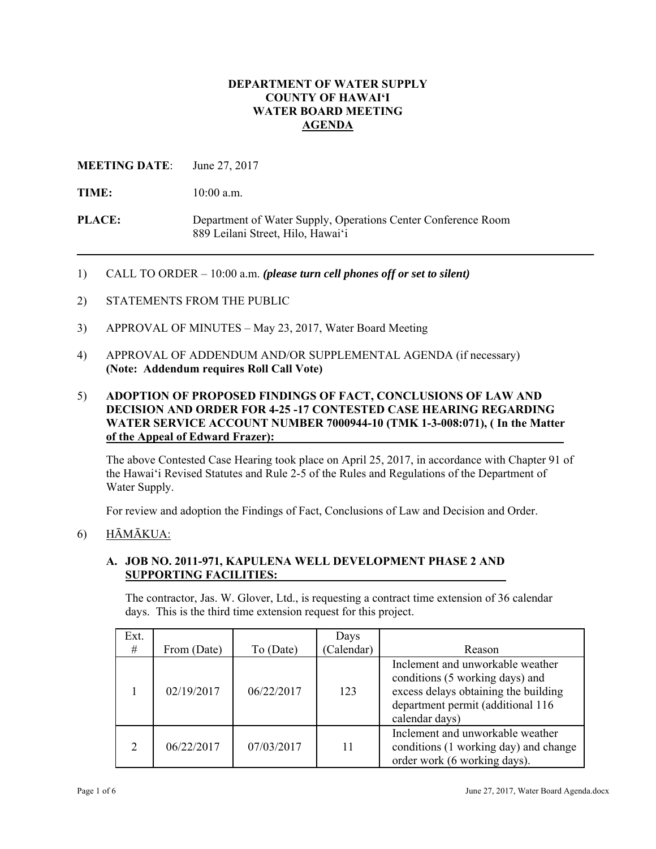### **DEPARTMENT OF WATER SUPPLY COUNTY OF HAWAI'I WATER BOARD MEETING AGENDA**

### **MEETING DATE**: June 27, 2017

TIME:  $10:00$  a.m.

**PLACE:** Department of Water Supply, Operations Center Conference Room 889 Leilani Street, Hilo, Hawai'i

- 1) CALL TO ORDER 10:00 a.m. *(please turn cell phones off or set to silent)*
- 2) STATEMENTS FROM THE PUBLIC
- 3) APPROVAL OF MINUTES May 23, 2017, Water Board Meeting
- 4) APPROVAL OF ADDENDUM AND/OR SUPPLEMENTAL AGENDA (if necessary) **(Note: Addendum requires Roll Call Vote)**

### 5) **ADOPTION OF PROPOSED FINDINGS OF FACT, CONCLUSIONS OF LAW AND DECISION AND ORDER FOR 4-25 -17 CONTESTED CASE HEARING REGARDING WATER SERVICE ACCOUNT NUMBER 7000944-10 (TMK 1-3-008:071), ( In the Matter of the Appeal of Edward Frazer):**

The above Contested Case Hearing took place on April 25, 2017, in accordance with Chapter 91 of the Hawai'i Revised Statutes and Rule 2-5 of the Rules and Regulations of the Department of Water Supply.

For review and adoption the Findings of Fact, Conclusions of Law and Decision and Order.

### 6)  $H\bar{A}M\bar{A}KUA$ :

### **A. JOB NO. 2011-971, KAPULENA WELL DEVELOPMENT PHASE 2 AND SUPPORTING FACILITIES:**

The contractor, Jas. W. Glover, Ltd., is requesting a contract time extension of 36 calendar days. This is the third time extension request for this project.

| Ext.<br># | From (Date) | To (Date)  | Days<br>(Calendar) | Reason                                                                                                                                                             |
|-----------|-------------|------------|--------------------|--------------------------------------------------------------------------------------------------------------------------------------------------------------------|
|           | 02/19/2017  | 06/22/2017 | 123                | Inclement and unworkable weather<br>conditions (5 working days) and<br>excess delays obtaining the building<br>department permit (additional 116<br>calendar days) |
|           | 06/22/2017  | 07/03/2017 | 11                 | Inclement and unworkable weather<br>conditions (1 working day) and change<br>order work (6 working days).                                                          |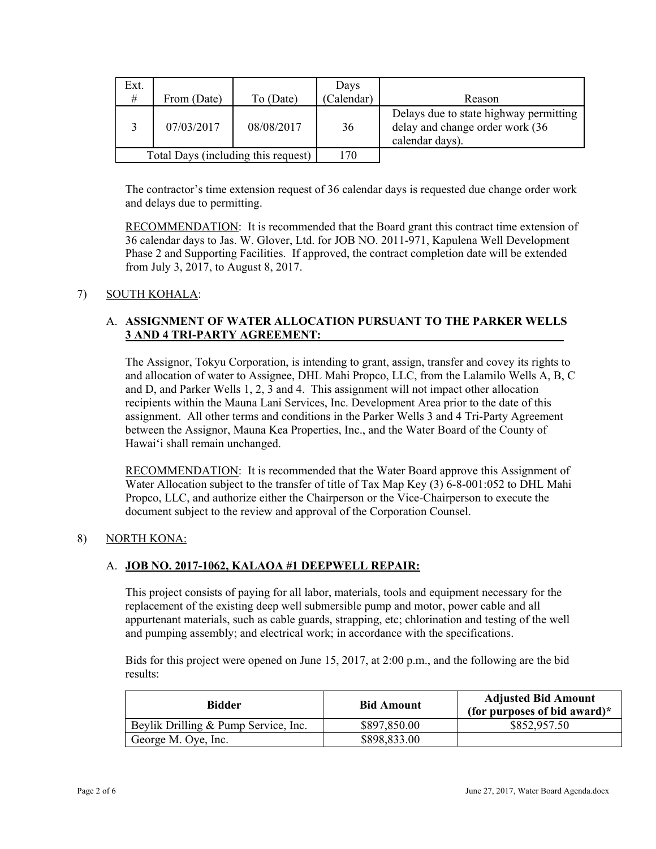| Ext.<br>#                           | From (Date) | To (Date)  | Days<br>(Calendar) | Reason                                                                                        |
|-------------------------------------|-------------|------------|--------------------|-----------------------------------------------------------------------------------------------|
|                                     | 07/03/2017  | 08/08/2017 | 36                 | Delays due to state highway permitting<br>delay and change order work (36)<br>calendar days). |
| Total Days (including this request) |             |            | 170                |                                                                                               |

The contractor's time extension request of 36 calendar days is requested due change order work and delays due to permitting.

 from July 3, 2017, to August 8, 2017. RECOMMENDATION: It is recommended that the Board grant this contract time extension of 36 calendar days to Jas. W. Glover, Ltd. for JOB NO. 2011-971, Kapulena Well Development Phase 2 and Supporting Facilities. If approved, the contract completion date will be extended

# 7) SOUTH KOHALA:

# A. **ASSIGNMENT OF WATER ALLOCATION PURSUANT TO THE PARKER WELLS 3 AND 4 TRI-PARTY AGREEMENT:**

The Assignor, Tokyu Corporation, is intending to grant, assign, transfer and covey its rights to and allocation of water to Assignee, DHL Mahi Propco, LLC, from the Lalamilo Wells A, B, C and D, and Parker Wells 1, 2, 3 and 4. This assignment will not impact other allocation recipients within the Mauna Lani Services, Inc. Development Area prior to the date of this assignment. All other terms and conditions in the Parker Wells 3 and 4 Tri-Party Agreement between the Assignor, Mauna Kea Properties, Inc., and the Water Board of the County of Hawai'i shall remain unchanged.

RECOMMENDATION: It is recommended that the Water Board approve this Assignment of Water Allocation subject to the transfer of title of Tax Map Key (3) 6-8-001:052 to DHL Mahi Propco, LLC, and authorize either the Chairperson or the Vice-Chairperson to execute the document subject to the review and approval of the Corporation Counsel.

### 8) NORTH KONA:

# A. **JOB NO. 2017-1062, KALAOA #1 DEEPWELL REPAIR:**

This project consists of paying for all labor, materials, tools and equipment necessary for the replacement of the existing deep well submersible pump and motor, power cable and all appurtenant materials, such as cable guards, strapping, etc; chlorination and testing of the well and pumping assembly; and electrical work; in accordance with the specifications.

Bids for this project were opened on June 15, 2017, at 2:00 p.m., and the following are the bid results:

| Bidder                               | <b>Bid Amount</b> | <b>Adjusted Bid Amount</b><br>(for purposes of bid award) $*$ |
|--------------------------------------|-------------------|---------------------------------------------------------------|
| Beylik Drilling & Pump Service, Inc. | \$897,850.00      | \$852,957.50                                                  |
| George M. Oye, Inc.                  | \$898,833.00      |                                                               |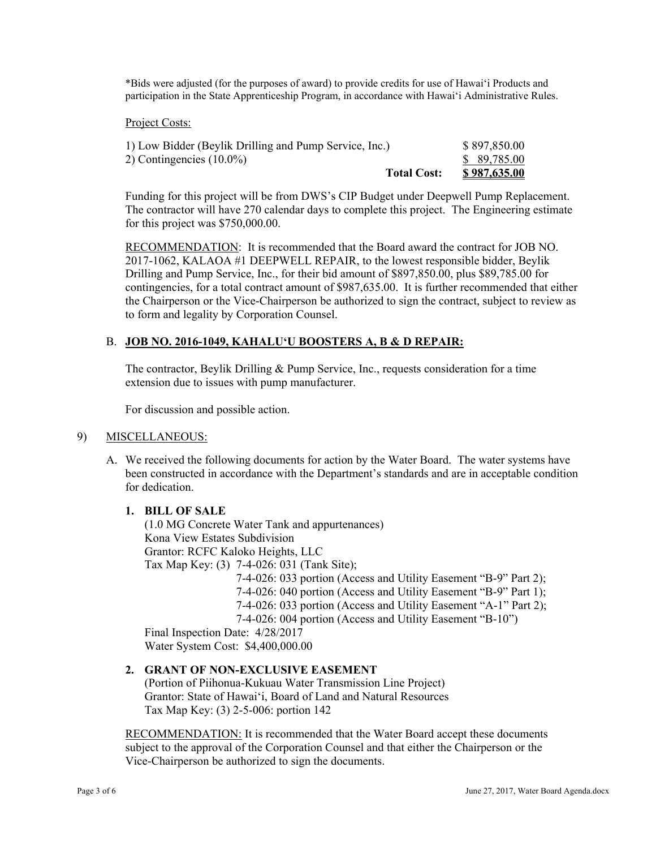\*Bids were adjusted (for the purposes of award) to provide credits for use of Hawai'i Products and participation in the State Apprenticeship Program, in accordance with Hawai'i Administrative Rules.

#### Project Costs:

| <b>Total Cost:</b>                                     | <u>\$987,635.00</u> |
|--------------------------------------------------------|---------------------|
| 2) Contingencies $(10.0\%)$                            | \$ 89,785.00        |
| 1) Low Bidder (Beylik Drilling and Pump Service, Inc.) | \$897,850.00        |

Funding for this project will be from DWS's CIP Budget under Deepwell Pump Replacement. The contractor will have 270 calendar days to complete this project. The Engineering estimate for this project was \$750,000.00.

RECOMMENDATION: It is recommended that the Board award the contract for JOB NO. 2017-1062, KALAOA #1 DEEPWELL REPAIR, to the lowest responsible bidder, Beylik Drilling and Pump Service, Inc., for their bid amount of \$897,850.00, plus \$89,785.00 for contingencies, for a total contract amount of \$987,635.00. It is further recommended that either the Chairperson or the Vice-Chairperson be authorized to sign the contract, subject to review as to form and legality by Corporation Counsel.

# B. **JOB NO. 2016-1049, KAHALUʻU BOOSTERS A, B & D REPAIR:**

The contractor, Beylik Drilling & Pump Service, Inc., requests consideration for a time extension due to issues with pump manufacturer.

For discussion and possible action.

### 9) MISCELLANEOUS:

A. We received the following documents for action by the Water Board. The water systems have been constructed in accordance with the Department's standards and are in acceptable condition for dedication.

### **1. BILL OF SALE**

(1.0 MG Concrete Water Tank and appurtenances) Kona View Estates Subdivision Grantor: RCFC Kaloko Heights, LLC Tax Map Key: (3) 7-4-026: 031 (Tank Site); 7-4-026: 033 portion (Access and Utility Easement "B-9" Part 2); 7-4-026: 040 portion (Access and Utility Easement "B-9" Part 1); 7-4-026: 033 portion (Access and Utility Easement "A-1" Part 2); 7-4-026: 004 portion (Access and Utility Easement "B-10") Final Inspection Date: 4/28/2017

Water System Cost: \$4,400,000.00

# **2. GRANT OF NON-EXCLUSIVE EASEMENT**

(Portion of Piihonua-Kukuau Water Transmission Line Project) Grantor: State of Hawai'i, Board of Land and Natural Resources Tax Map Key: (3) 2-5-006: portion 142

RECOMMENDATION: It is recommended that the Water Board accept these documents subject to the approval of the Corporation Counsel and that either the Chairperson or the Vice-Chairperson be authorized to sign the documents.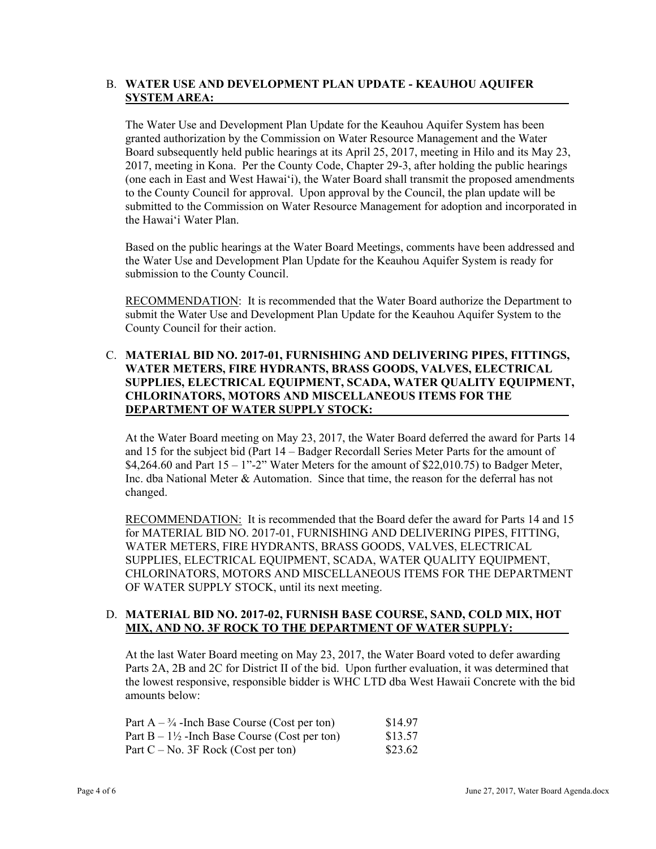### B. **WATER USE AND DEVELOPMENT PLAN UPDATE - KEAUHOU AQUIFER SYSTEM AREA:**

The Water Use and Development Plan Update for the Keauhou Aquifer System has been granted authorization by the Commission on Water Resource Management and the Water Board subsequently held public hearings at its April 25, 2017, meeting in Hilo and its May 23, 2017, meeting in Kona. Per the County Code, Chapter 29-3, after holding the public hearings (one each in East and West Hawai'i), the Water Board shall transmit the proposed amendments to the County Council for approval. Upon approval by the Council, the plan update will be submitted to the Commission on Water Resource Management for adoption and incorporated in the Hawai'i Water Plan.

Based on the public hearings at the Water Board Meetings, comments have been addressed and the Water Use and Development Plan Update for the Keauhou Aquifer System is ready for submission to the County Council.

RECOMMENDATION: It is recommended that the Water Board authorize the Department to submit the Water Use and Development Plan Update for the Keauhou Aquifer System to the County Council for their action.

# C. **MATERIAL BID NO. 2017-01, FURNISHING AND DELIVERING PIPES, FITTINGS, WATER METERS, FIRE HYDRANTS, BRASS GOODS, VALVES, ELECTRICAL SUPPLIES, ELECTRICAL EQUIPMENT, SCADA, WATER QUALITY EQUIPMENT, CHLORINATORS, MOTORS AND MISCELLANEOUS ITEMS FOR THE DEPARTMENT OF WATER SUPPLY STOCK:**

At the Water Board meeting on May 23, 2017, the Water Board deferred the award for Parts 14 and 15 for the subject bid (Part 14 – Badger Recordall Series Meter Parts for the amount of \$4,264.60 and Part  $15 - 1$ "-2" Water Meters for the amount of \$22,010.75) to Badger Meter, Inc. dba National Meter & Automation. Since that time, the reason for the deferral has not changed.

RECOMMENDATION: It is recommended that the Board defer the award for Parts 14 and 15 for MATERIAL BID NO. 2017-01, FURNISHING AND DELIVERING PIPES, FITTING, WATER METERS, FIRE HYDRANTS, BRASS GOODS, VALVES, ELECTRICAL SUPPLIES, ELECTRICAL EQUIPMENT, SCADA, WATER QUALITY EQUIPMENT, CHLORINATORS, MOTORS AND MISCELLANEOUS ITEMS FOR THE DEPARTMENT OF WATER SUPPLY STOCK, until its next meeting.

# D. **MATERIAL BID NO. 2017-02, FURNISH BASE COURSE, SAND, COLD MIX, HOT MIX, AND NO. 3F ROCK TO THE DEPARTMENT OF WATER SUPPLY:**

At the last Water Board meeting on May 23, 2017, the Water Board voted to defer awarding Parts 2A, 2B and 2C for District II of the bid. Upon further evaluation, it was determined that the lowest responsive, responsible bidder is WHC LTD dba West Hawaii Concrete with the bid amounts below:

| Part $A - \frac{3}{4}$ -Inch Base Course (Cost per ton)  | \$14.97 |
|----------------------------------------------------------|---------|
| Part $B - 1\frac{1}{2}$ -Inch Base Course (Cost per ton) | \$13.57 |
| Part $C - No$ . 3F Rock (Cost per ton)                   | \$23.62 |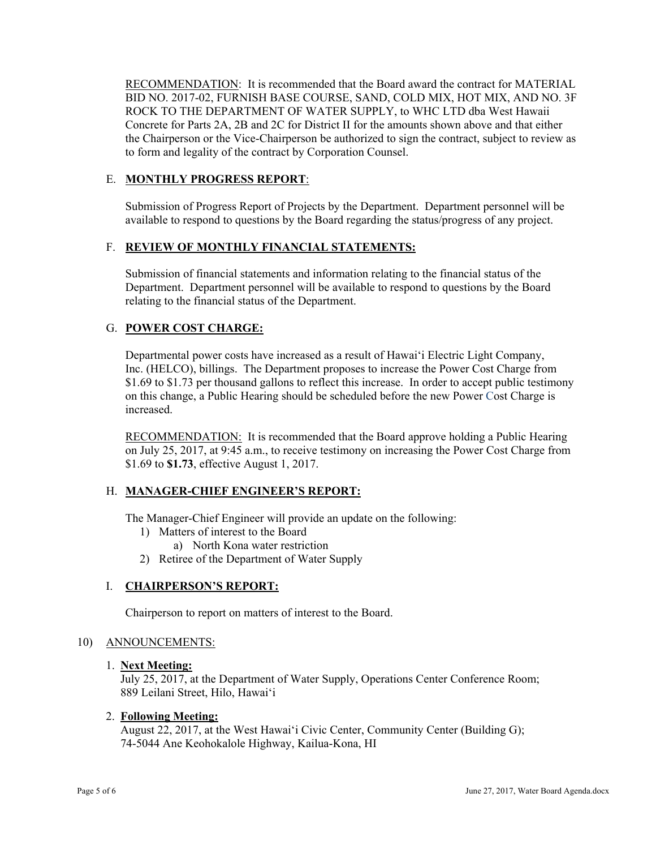RECOMMENDATION: It is recommended that the Board award the contract for MATERIAL BID NO. 2017-02, FURNISH BASE COURSE, SAND, COLD MIX, HOT MIX, AND NO. 3F ROCK TO THE DEPARTMENT OF WATER SUPPLY, to WHC LTD dba West Hawaii Concrete for Parts 2A, 2B and 2C for District II for the amounts shown above and that either the Chairperson or the Vice-Chairperson be authorized to sign the contract, subject to review as to form and legality of the contract by Corporation Counsel.

# E. **MONTHLY PROGRESS REPORT**:

Submission of Progress Report of Projects by the Department. Department personnel will be available to respond to questions by the Board regarding the status/progress of any project.

# F. **REVIEW OF MONTHLY FINANCIAL STATEMENTS:**

Submission of financial statements and information relating to the financial status of the Department. Department personnel will be available to respond to questions by the Board relating to the financial status of the Department.

# G. **POWER COST CHARGE:**

Departmental power costs have increased as a result of Hawai'i Electric Light Company, Inc. (HELCO), billings. The Department proposes to increase the Power Cost Charge from \$1.69 to \$1.73 per thousand gallons to reflect this increase. In order to accept public testimony on this change, a Public Hearing should be scheduled before the new Power Cost Charge is increased.

RECOMMENDATION: It is recommended that the Board approve holding a Public Hearing on July 25, 2017, at 9:45 a.m., to receive testimony on increasing the Power Cost Charge from \$1.69 to **\$1.73**, effective August 1, 2017.

### H. **MANAGER-CHIEF ENGINEER'S REPORT:**

The Manager-Chief Engineer will provide an update on the following:

- 1) Matters of interest to the Board
	- a) North Kona water restriction
- 2) Retiree of the Department of Water Supply

### I. **CHAIRPERSON'S REPORT:**

Chairperson to report on matters of interest to the Board.

### 10) ANNOUNCEMENTS:

#### 1. **Next Meeting:**

July 25, 2017, at the Department of Water Supply, Operations Center Conference Room; 889 Leilani Street, Hilo, Hawai'i

### 2. **Following Meeting:**

August 22, 2017, at the West Hawai'i Civic Center, Community Center (Building G); 74-5044 Ane Keohokalole Highway, Kailua-Kona, HI